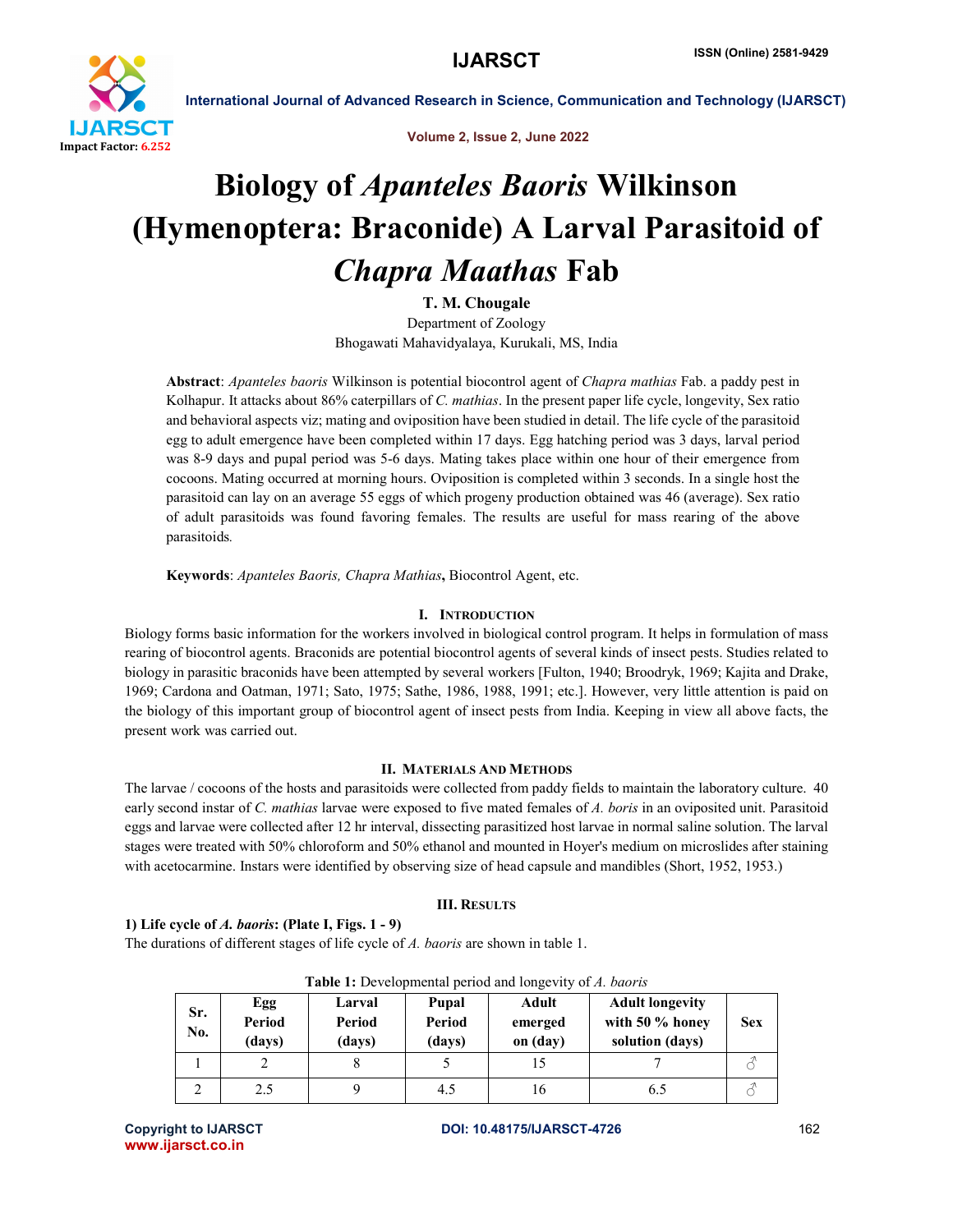

Volume 2, Issue 2, June 2022

# Biology of *Apanteles Baoris* Wilkinson (Hymenoptera: Braconide) A Larval Parasitoid of *Chapra Maathas* Fab

T. M. Chougale

Department of Zoology Bhogawati Mahavidyalaya, Kurukali, MS, India

Abstract: *Apanteles baoris* Wilkinson is potential biocontrol agent of *Chapra mathias* Fab. a paddy pest in Kolhapur. It attacks about 86% caterpillars of *C. mathias*. In the present paper life cycle, longevity, Sex ratio and behavioral aspects viz; mating and oviposition have been studied in detail. The life cycle of the parasitoid egg to adult emergence have been completed within 17 days. Egg hatching period was 3 days, larval period was 8-9 days and pupal period was 5-6 days. Mating takes place within one hour of their emergence from cocoons. Mating occurred at morning hours. Oviposition is completed within 3 seconds. In a single host the parasitoid can lay on an average 55 eggs of which progeny production obtained was 46 (average). Sex ratio of adult parasitoids was found favoring females. The results are useful for mass rearing of the above parasitoids*.* 

Keywords: *Apanteles Baoris, Chapra Mathias*, Biocontrol Agent, etc.

## I. INTRODUCTION

Biology forms basic information for the workers involved in biological control program. It helps in formulation of mass rearing of biocontrol agents. Braconids are potential biocontrol agents of several kinds of insect pests. Studies related to biology in parasitic braconids have been attempted by several workers [Fulton, 1940; Broodryk, 1969; Kajita and Drake, 1969; Cardona and Oatman, 1971; Sato, 1975; Sathe, 1986, 1988, 1991; etc.]. However, very little attention is paid on the biology of this important group of biocontrol agent of insect pests from India. Keeping in view all above facts, the present work was carried out.

# II. MATERIALS AND METHODS

The larvae / cocoons of the hosts and parasitoids were collected from paddy fields to maintain the laboratory culture. 40 early second instar of *C. mathias* larvae were exposed to five mated females of *A. boris* in an oviposited unit. Parasitoid eggs and larvae were collected after 12 hr interval, dissecting parasitized host larvae in normal saline solution. The larval stages were treated with 50% chloroform and 50% ethanol and mounted in Hoyer's medium on microslides after staining with acetocarmine. Instars were identified by observing size of head capsule and mandibles (Short, 1952, 1953.)

### III. RESULTS

# 1) Life cycle of *A. baoris*: (Plate I, Figs. 1 - 9)

The durations of different stages of life cycle of *A. baoris* are shown in table 1.

| $\sim$ which is the contraction of the contract of $\sim$ . The contract of $\sim$ |                         |                            |                           |                              |                                                              |            |  |  |  |  |  |
|------------------------------------------------------------------------------------|-------------------------|----------------------------|---------------------------|------------------------------|--------------------------------------------------------------|------------|--|--|--|--|--|
| Sr.<br>No.                                                                         | Egg<br>Period<br>(days) | Larval<br>Period<br>(days) | Pupal<br>Period<br>(days) | Adult<br>emerged<br>on (day) | <b>Adult longevity</b><br>with 50 % honey<br>solution (days) | <b>Sex</b> |  |  |  |  |  |
|                                                                                    |                         |                            |                           |                              |                                                              |            |  |  |  |  |  |
|                                                                                    | 2.5                     |                            | 4.5                       |                              | 6.5                                                          |            |  |  |  |  |  |

Table 1: Developmental period and longevity of *A. baoris*

www.ijarsct.co.in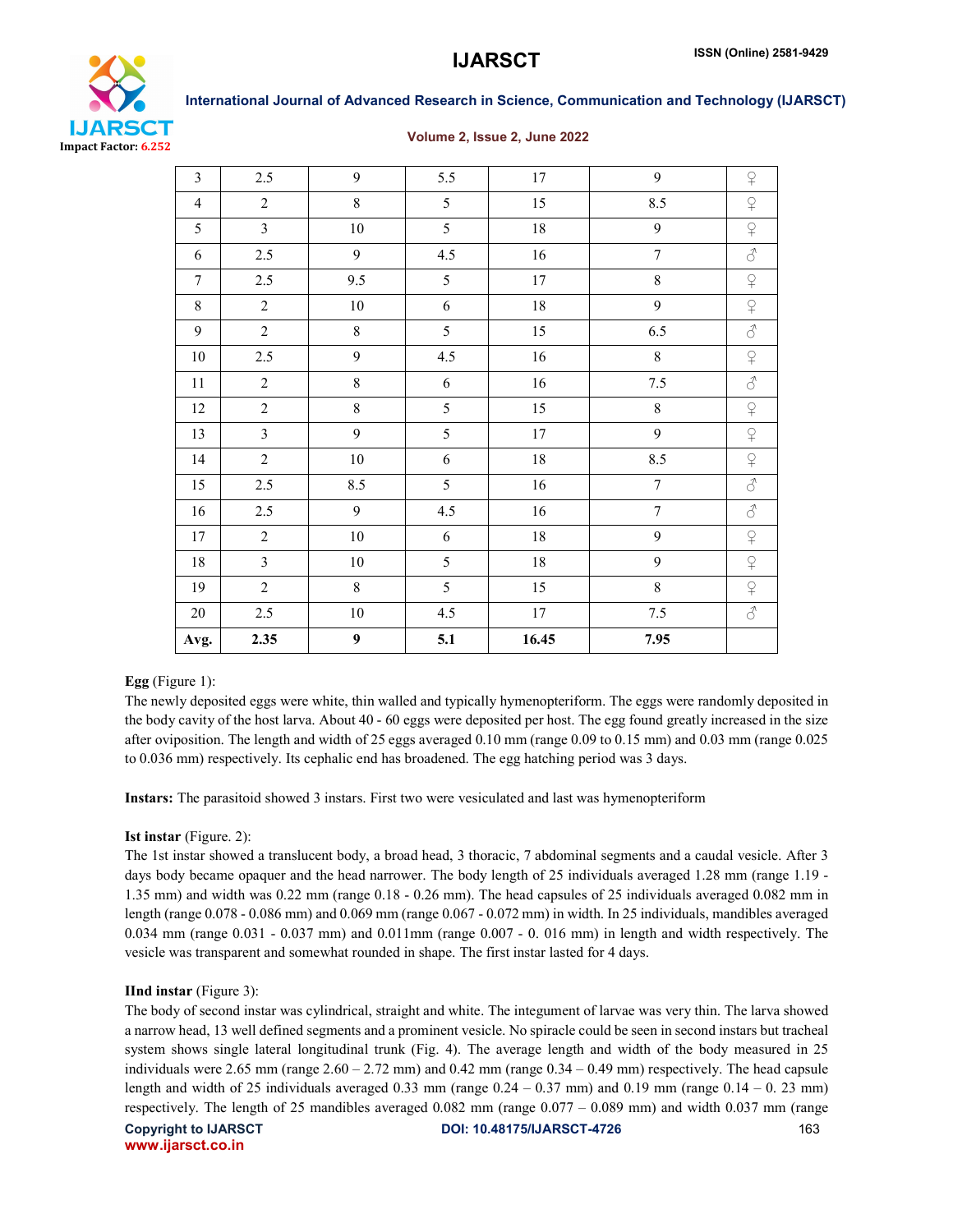

### Volume 2, Issue 2, June 2022

| Avg.           | 2.35           | $\boldsymbol{9}$ | 5.1              | 16.45  | 7.95             |                             |
|----------------|----------------|------------------|------------------|--------|------------------|-----------------------------|
| 20             | $2.5$          | $10\,$           | 4.5              | 17     | $7.5\,$          | $\vec{\mathcal{C}}$         |
| 19             | $\overline{2}$ | $\,8\,$          | 5                | 15     | $\,8\,$          | $\sqrt{ }$                  |
| $18\,$         | $\overline{3}$ | $10\,$           | 5                | 18     | 9                | $\hbox{$\curvearrowleft$}$  |
| 17             | $\overline{2}$ | $10\,$           | $\boldsymbol{6}$ | $18\,$ | $\mathbf{9}$     | $\operatorname{\mathsf{S}}$ |
| 16             | 2.5            | 9                | 4.5              | 16     | $\overline{7}$   | $\vec{\mathcal{S}}$         |
| 15             | $2.5\,$        | 8.5              | 5                | 16     | $\boldsymbol{7}$ | $\mathcal{S}$               |
| 14             | $\sqrt{2}$     | $10\,$           | 6                | $18\,$ | 8.5              | $\varphi$                   |
| 13             | $\mathfrak{Z}$ | $\mathbf{9}$     | 5                | $17\,$ | 9                | $\hbox{$\bigcirc$}$         |
| 12             | $\overline{2}$ | $\,8$            | 5                | 15     | $\,8\,$          | $\hbox{$\curvearrowright$}$ |
| 11             | $\overline{2}$ | $\,8$            | $\boldsymbol{6}$ | 16     | 7.5              | $\vec{\mathcal{C}}$         |
| 10             | 2.5            | 9                | 4.5              | 16     | $\,8\,$          | $\hbox{$\subsetsim$}$       |
| 9              | $\overline{2}$ | $\,8\,$          | 5                | 15     | 6.5              | $\vec{\mathcal{C}}$         |
| 8              | $\overline{2}$ | $10\,$           | $\sqrt{6}$       | $18\,$ | 9                | $\overline{P}$              |
| $\overline{7}$ | 2.5            | 9.5              | 5                | 17     | $\,8\,$          | $\sqrt{2}$                  |
| 6              | 2.5            | 9                | 4.5              | 16     | $\boldsymbol{7}$ | $\vec{\mathcal{C}}$         |
| 5              | $\overline{3}$ | $10\,$           | 5                | $18\,$ | 9                | $\sqrt{2}$                  |
| $\overline{4}$ | $\overline{2}$ | $\,8\,$          | 5                | 15     | 8.5              | $\hbox{$\mathfrak{D}$}$     |
| $\overline{3}$ | 2.5            | 9                | 5.5              | $17\,$ | 9                | $\operatorname{\mathsf{S}}$ |

# Egg (Figure 1):

The newly deposited eggs were white, thin walled and typically hymenopteriform. The eggs were randomly deposited in the body cavity of the host larva. About 40 - 60 eggs were deposited per host. The egg found greatly increased in the size after oviposition. The length and width of 25 eggs averaged 0.10 mm (range 0.09 to 0.15 mm) and 0.03 mm (range 0.025 to 0.036 mm) respectively. Its cephalic end has broadened. The egg hatching period was 3 days.

Instars: The parasitoid showed 3 instars. First two were vesiculated and last was hymenopteriform

### Ist instar (Figure. 2):

The 1st instar showed a translucent body, a broad head, 3 thoracic, 7 abdominal segments and a caudal vesicle. After 3 days body became opaquer and the head narrower. The body length of 25 individuals averaged 1.28 mm (range 1.19 - 1.35 mm) and width was 0.22 mm (range 0.18 - 0.26 mm). The head capsules of 25 individuals averaged 0.082 mm in length (range 0.078 - 0.086 mm) and 0.069 mm (range 0.067 - 0.072 mm) in width. In 25 individuals, mandibles averaged 0.034 mm (range 0.031 - 0.037 mm) and 0.011mm (range 0.007 - 0. 016 mm) in length and width respectively. The vesicle was transparent and somewhat rounded in shape. The first instar lasted for 4 days.

### IInd instar (Figure 3):

The body of second instar was cylindrical, straight and white. The integument of larvae was very thin. The larva showed a narrow head, 13 well defined segments and a prominent vesicle. No spiracle could be seen in second instars but tracheal system shows single lateral longitudinal trunk (Fig. 4). The average length and width of the body measured in 25 individuals were  $2.65$  mm (range  $2.60 - 2.72$  mm) and  $0.42$  mm (range  $0.34 - 0.49$  mm) respectively. The head capsule length and width of 25 individuals averaged 0.33 mm (range  $0.24 - 0.37$  mm) and  $0.19$  mm (range  $0.14 - 0.23$  mm) respectively. The length of 25 mandibles averaged 0.082 mm (range 0.077 – 0.089 mm) and width 0.037 mm (range

www.ijarsct.co.in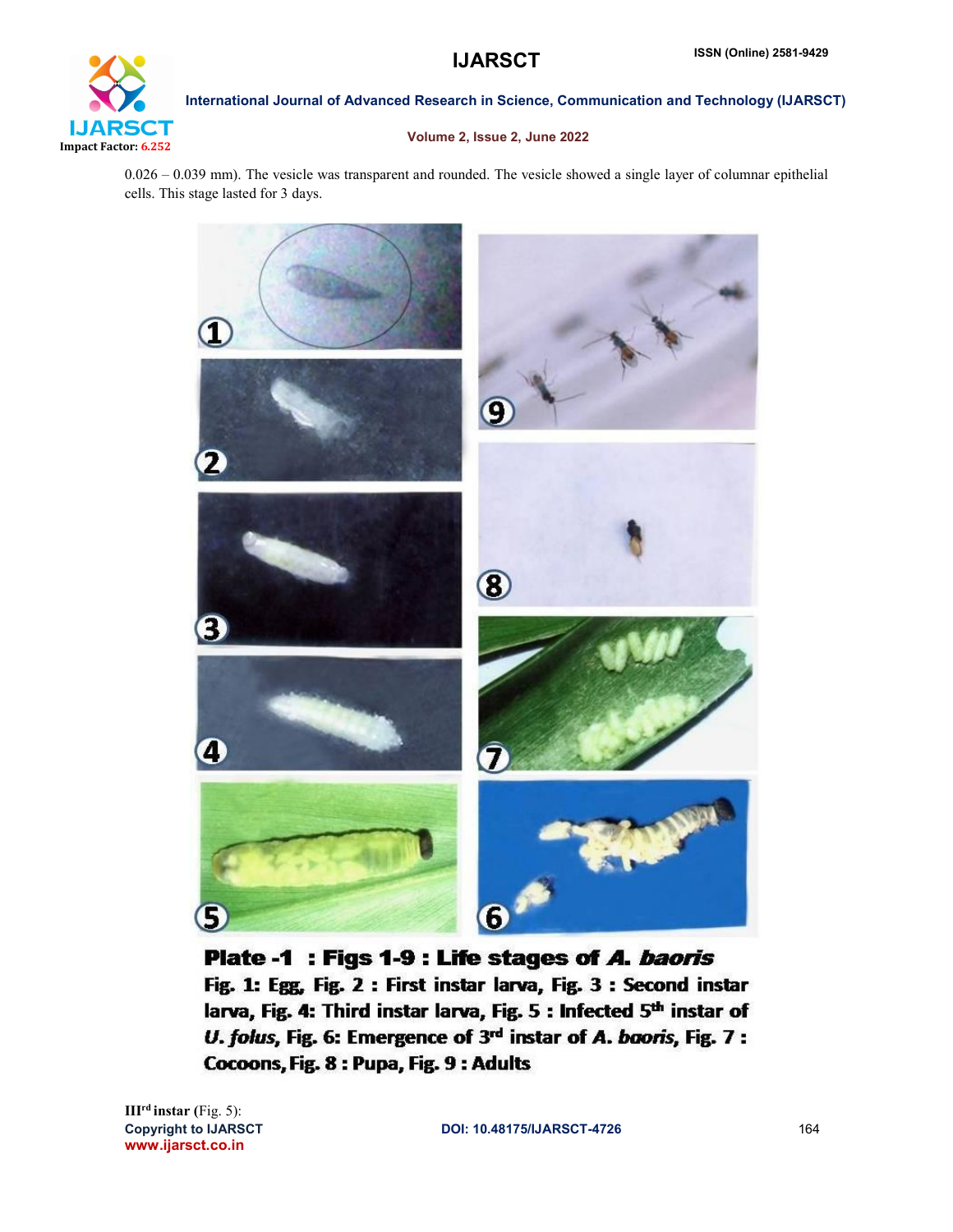

# Volume 2, Issue 2, June 2022

0.026 – 0.039 mm). The vesicle was transparent and rounded. The vesicle showed a single layer of columnar epithelial cells. This stage lasted for 3 days.



Plate -1 : Figs 1-9 : Life stages of A. baoris Fig. 1: Egg, Fig. 2 : First instar larva, Fig. 3 : Second instar larva, Fig. 4: Third instar larva, Fig. 5 : Infected 5<sup>th</sup> instar of U. folus, Fig. 6: Emergence of 3rd instar of A. baoris, Fig. 7 : Cocoons, Fig. 8 : Pupa, Fig. 9 : Adults

www.ijarsct.co.in IIIrd instar (Fig. 5):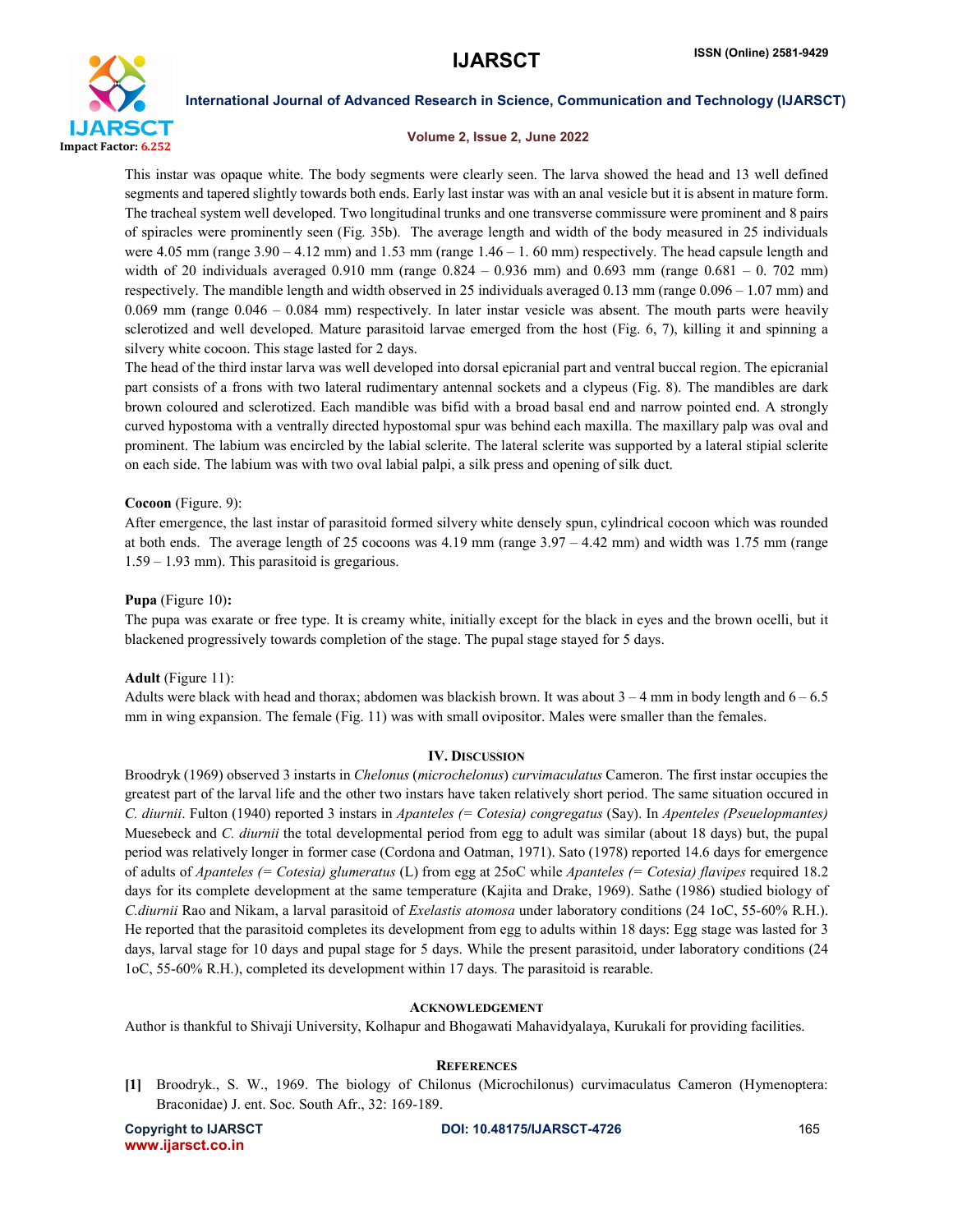

### Volume 2, Issue 2, June 2022

This instar was opaque white. The body segments were clearly seen. The larva showed the head and 13 well defined segments and tapered slightly towards both ends. Early last instar was with an anal vesicle but it is absent in mature form. The tracheal system well developed. Two longitudinal trunks and one transverse commissure were prominent and 8 pairs of spiracles were prominently seen (Fig. 35b). The average length and width of the body measured in 25 individuals were 4.05 mm (range  $3.90 - 4.12$  mm) and 1.53 mm (range  $1.46 - 1.60$  mm) respectively. The head capsule length and width of 20 individuals averaged 0.910 mm (range 0.824 – 0.936 mm) and 0.693 mm (range 0.681 – 0. 702 mm) respectively. The mandible length and width observed in 25 individuals averaged 0.13 mm (range 0.096 – 1.07 mm) and 0.069 mm (range 0.046 – 0.084 mm) respectively. In later instar vesicle was absent. The mouth parts were heavily sclerotized and well developed. Mature parasitoid larvae emerged from the host (Fig. 6, 7), killing it and spinning a silvery white cocoon. This stage lasted for 2 days.

The head of the third instar larva was well developed into dorsal epicranial part and ventral buccal region. The epicranial part consists of a frons with two lateral rudimentary antennal sockets and a clypeus (Fig. 8). The mandibles are dark brown coloured and sclerotized. Each mandible was bifid with a broad basal end and narrow pointed end. A strongly curved hypostoma with a ventrally directed hypostomal spur was behind each maxilla. The maxillary palp was oval and prominent. The labium was encircled by the labial sclerite. The lateral sclerite was supported by a lateral stipial sclerite on each side. The labium was with two oval labial palpi, a silk press and opening of silk duct.

### Cocoon (Figure. 9):

After emergence, the last instar of parasitoid formed silvery white densely spun, cylindrical cocoon which was rounded at both ends. The average length of 25 cocoons was 4.19 mm (range 3.97 – 4.42 mm) and width was 1.75 mm (range 1.59 – 1.93 mm). This parasitoid is gregarious.

### Pupa (Figure 10):

The pupa was exarate or free type. It is creamy white, initially except for the black in eyes and the brown ocelli, but it blackened progressively towards completion of the stage. The pupal stage stayed for 5 days.

### Adult (Figure 11):

Adults were black with head and thorax; abdomen was blackish brown. It was about  $3 - 4$  mm in body length and  $6 - 6.5$ mm in wing expansion. The female (Fig. 11) was with small ovipositor. Males were smaller than the females.

### IV. DISCUSSION

Broodryk (1969) observed 3 instarts in *Chelonus* (*microchelonus*) *curvimaculatus* Cameron. The first instar occupies the greatest part of the larval life and the other two instars have taken relatively short period. The same situation occured in *C. diurnii*. Fulton (1940) reported 3 instars in *Apanteles (= Cotesia) congregatus* (Say). In *Apenteles (Pseuelopmantes)* Muesebeck and *C. diurnii* the total developmental period from egg to adult was similar (about 18 days) but, the pupal period was relatively longer in former case (Cordona and Oatman, 1971). Sato (1978) reported 14.6 days for emergence of adults of *Apanteles (= Cotesia) glumeratus* (L) from egg at 25oC while *Apanteles (= Cotesia) flavipes* required 18.2 days for its complete development at the same temperature (Kajita and Drake, 1969). Sathe (1986) studied biology of *C.diurnii* Rao and Nikam, a larval parasitoid of *Exelastis atomosa* under laboratory conditions (24 1oC, 55-60% R.H.). He reported that the parasitoid completes its development from egg to adults within 18 days: Egg stage was lasted for 3 days, larval stage for 10 days and pupal stage for 5 days. While the present parasitoid, under laboratory conditions (24 1oC, 55-60% R.H.), completed its development within 17 days. The parasitoid is rearable.

### ACKNOWLEDGEMENT

Author is thankful to Shivaji University, Kolhapur and Bhogawati Mahavidyalaya, Kurukali for providing facilities.

### **REFERENCES**

[1] Broodryk., S. W., 1969. The biology of Chilonus (Microchilonus) curvimaculatus Cameron (Hymenoptera: Braconidae) J. ent. Soc. South Afr., 32: 169-189.

www.ijarsct.co.in

Copyright to IJARSCT **DOI: 10.48175/IJARSCT-4726** 165